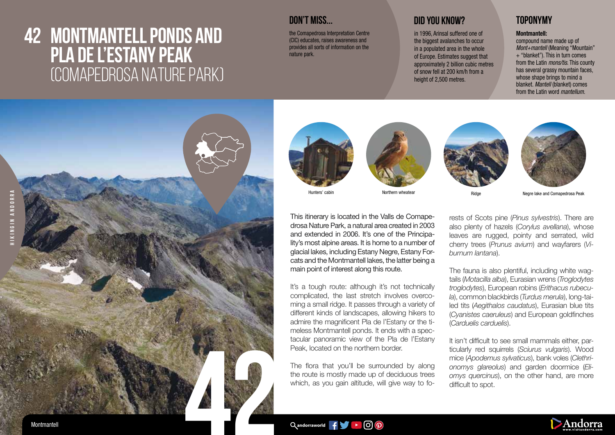# **42 MONTMANTELL PONDS AND PLA DE L'ESTANY PEAK** (COMAPEDROSA NATURE PARK)



the Comapedrosa Interpretation Centre (CIC) educates, raises awareness and provides all sorts of information on the nature park.

# **DID YOU KNOW? TOPONYMY**

in 1996, Arinsal suffered one of the biggest avalanches to occur in a populated area in the whole of Europe. Estimates suggest that approximately 2 billion cubic metres of snow fell at 200 km/h from a height of 2,500 metres.

### Montmantell:

compound name made up of *Mont+mantell* (Meaning "Mountain" + "blanket"). This in turn comes from the Latin *mons/tis*. This county has several grassy mountain faces. whose shape brings to mind a blanket. *Mantell* (blanket) comes from the Latin word *mantellum*.











Negre lake and Comapedrosa Peak

This itinerary is located in the Valls de Comapedrosa Nature Park, a natural area created in 2003 and extended in 2006. It's one of the Principality's most alpine areas. It is home to a number of glacial lakes, including Estany Negre, Estany Forcats and the Montmantell lakes, the latter being a main point of interest along this route.

Hunters' cabin **Northern** wheatear

It's a tough route: although it's not technically complicated, the last stretch involves overcoming a small ridge. It passes through a variety of different kinds of landscapes, allowing hikers to admire the magnificent Pla de l'Estany or the timeless Montmantell ponds. It ends with a spectacular panoramic view of the Pla de l'Estany Peak, located on the northern border.

The flora that you'll be surrounded by along the route is mostly made up of deciduous trees which, as you gain altitude, will give way to fo-

rests of Scots pine (*Pinus sylvestris*). There are also plenty of hazels (*Corylus avellana*), whose leaves are rugged, pointy and serrated, wild cherry trees (*Prunus avium*) and wayfarers (*Viburnum lantana*).

The fauna is also plentiful, including white wagtails (*Motacilla alba*), Eurasian wrens (*Troglodytes troglodytes*), European robins (*Erithacus rubecula*), common blackbirds (*Turdus merula*), long-tailed tits (*Aegithalos caudatus*), Eurasian blue tits (*Cyanistes caeruleus*) and European goldfinches (*Carduelis carduelis*).

It isn't difficult to see small mammals either, particularly red squirrels (*Sciurus vulgaris*). Wood mice (*Apodemus sylvaticus*), bank voles (*Clethrionomys glareolus*) and garden doormice (*Eliomys quercinus*), on the other hand, are more difficult to spot.

 $\alpha$ andorraworld  $\mathbf{f} = \alpha$   $\alpha$